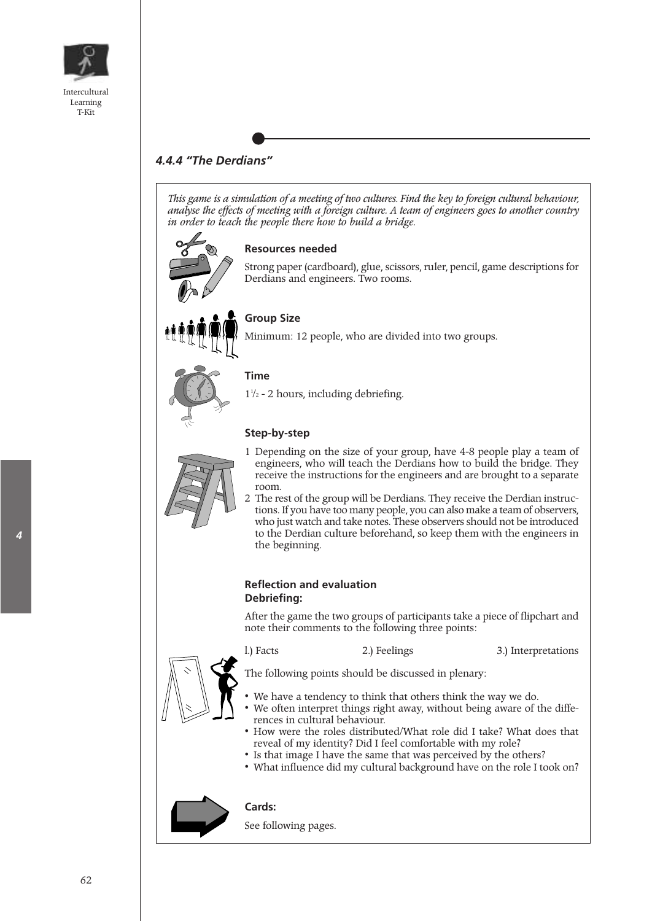

# *4.4.4 "The Derdians"*

*This game is a simulation of a meeting of two cultures. Find the key to foreign cultural behaviour, analyse the effects of meeting with a foreign culture. A team of engineers goes to another country in order to teach the people there how to build a bridge.*



#### **Resources needed**

Strong paper (cardboard), glue, scissors, ruler, pencil, game descriptions for Derdians and engineers. Two rooms.



## **Group Size**

Minimum: 12 people, who are divided into two groups.



## **Time**

 $1^{1/2}$  - 2 hours, including debriefing.

### **Step-by-step**



- 1 Depending on the size of your group, have 4-8 people play a team of engineers, who will teach the Derdians how to build the bridge. They receive the instructions for the engineers and are brought to a separate room.
- 2 The rest of the group will be Derdians. They receive the Derdian instructions. If you have too many people, you can also make a team of observers, who just watch and take notes. These observers should not be introduced to the Derdian culture beforehand, so keep them with the engineers in the beginning.

#### **Reflection and evaluation Debriefing:**

After the game the two groups of participants take a piece of flipchart and note their comments to the following three points:

l.) Facts 2.) Feelings 3.) Interpretations

The following points should be discussed in plenary:

- We have a tendency to think that others think the way we do.
- We often interpret things right away, without being aware of the differences in cultural behaviour.
- How were the roles distributed/What role did I take? What does that reveal of my identity? Did I feel comfortable with my role?
- Is that image I have the same that was perceived by the others?
- What influence did my cultural background have on the role I took on?



## **Cards:**

See following pages.

*4*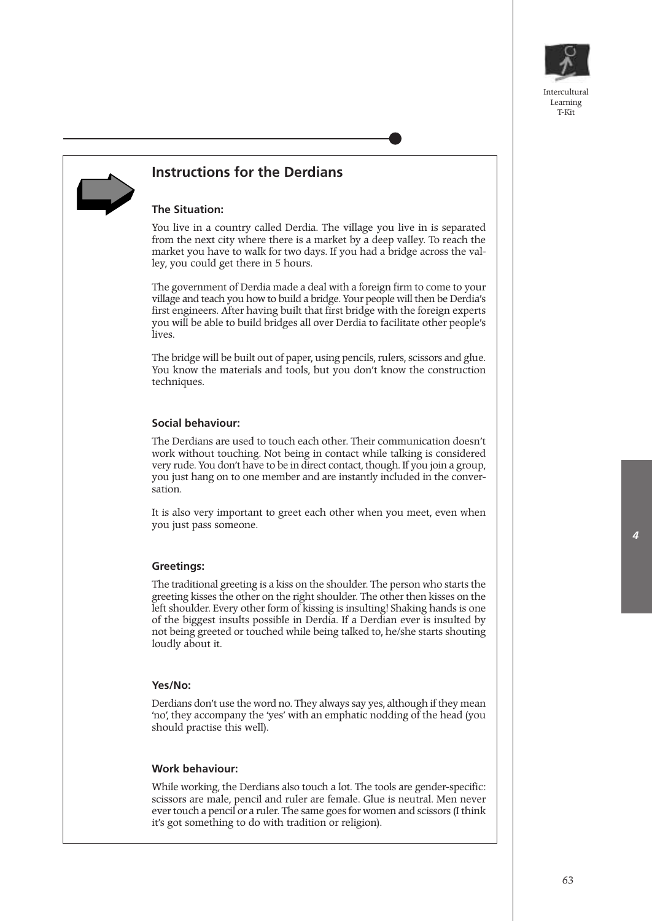



## **Instructions for the Derdians**

#### **The Situation:**

You live in a country called Derdia. The village you live in is separated from the next city where there is a market by a deep valley. To reach the market you have to walk for two days. If you had a bridge across the valley, you could get there in 5 hours.

The government of Derdia made a deal with a foreign firm to come to your village and teach you how to build a bridge. Your people will then be Derdia's first engineers. After having built that first bridge with the foreign experts you will be able to build bridges all over Derdia to facilitate other people's lives.

The bridge will be built out of paper, using pencils, rulers, scissors and glue. You know the materials and tools, but you don't know the construction techniques.

#### **Social behaviour:**

The Derdians are used to touch each other. Their communication doesn't work without touching. Not being in contact while talking is considered very rude. You don't have to be in direct contact, though. If you join a group, you just hang on to one member and are instantly included in the conversation.

It is also very important to greet each other when you meet, even when you just pass someone.

#### **Greetings:**

The traditional greeting is a kiss on the shoulder. The person who starts the greeting kisses the other on the right shoulder. The other then kisses on the left shoulder. Every other form of kissing is insulting! Shaking hands is one of the biggest insults possible in Derdia. If a Derdian ever is insulted by not being greeted or touched while being talked to, he/she starts shouting loudly about it.

#### **Yes/No:**

Derdians don't use the word no. They always say yes, although if they mean 'no', they accompany the 'yes' with an emphatic nodding of the head (you should practise this well).

#### **Work behaviour:**

While working, the Derdians also touch a lot. The tools are gender-specific: scissors are male, pencil and ruler are female. Glue is neutral. Men never ever touch a pencil or a ruler. The same goes for women and scissors (I think it's got something to do with tradition or religion).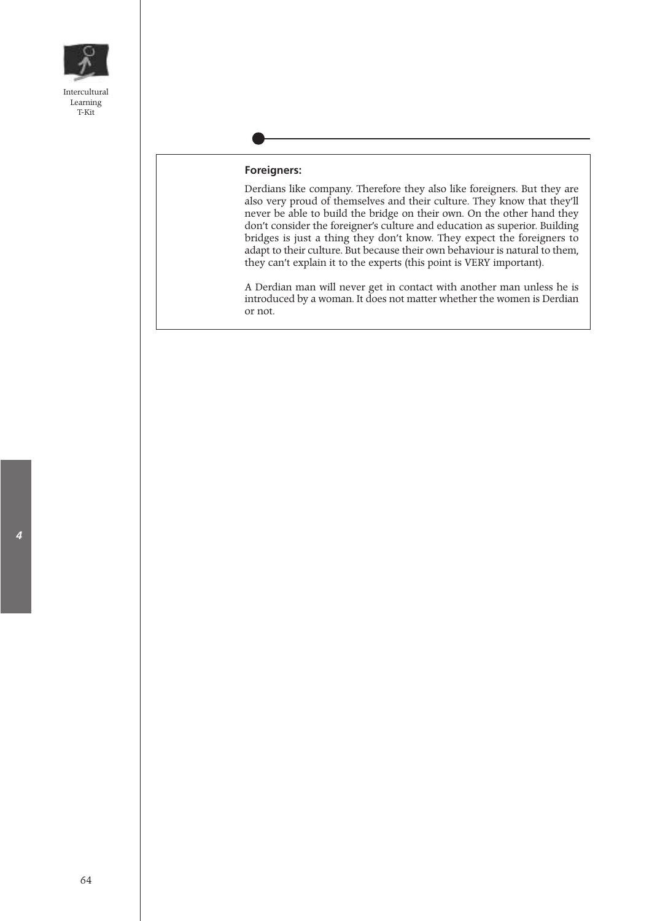

#### **Foreigners:**

Derdians like company. Therefore they also like foreigners. But they are also very proud of themselves and their culture. They know that they'll never be able to build the bridge on their own. On the other hand they don't consider the foreigner's culture and education as superior. Building bridges is just a thing they don't know. They expect the foreigners to adapt to their culture. But because their own behaviour is natural to them, they can't explain it to the experts (this point is VERY important).

A Derdian man will never get in contact with another man unless he is introduced by a woman. It does not matter whether the women is Derdian or not.